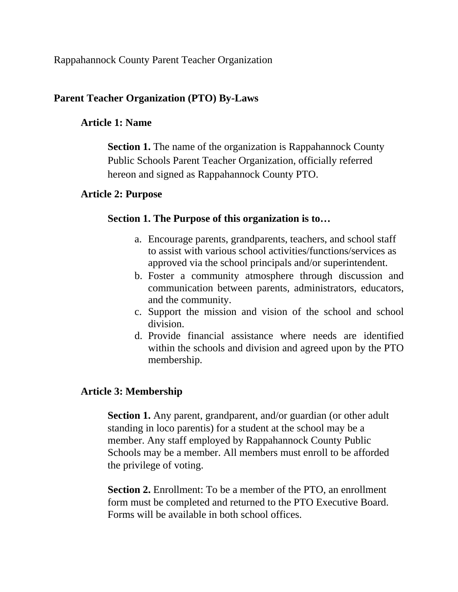Rappahannock County Parent Teacher Organization

# **Parent Teacher Organization (PTO) By-Laws**

### **Article 1: Name**

**Section 1.** The name of the organization is Rappahannock County Public Schools Parent Teacher Organization, officially referred hereon and signed as Rappahannock County PTO.

# **Article 2: Purpose**

### **Section 1. The Purpose of this organization is to…**

- a. Encourage parents, grandparents, teachers, and school staff to assist with various school activities/functions/services as approved via the school principals and/or superintendent.
- b. Foster a community atmosphere through discussion and communication between parents, administrators, educators, and the community.
- c. Support the mission and vision of the school and school division.
- d. Provide financial assistance where needs are identified within the schools and division and agreed upon by the PTO membership.

# **Article 3: Membership**

**Section 1.** Any parent, grandparent, and/or guardian (or other adult standing in loco parentis) for a student at the school may be a member. Any staff employed by Rappahannock County Public Schools may be a member. All members must enroll to be afforded the privilege of voting.

**Section 2.** Enrollment: To be a member of the PTO, an enrollment form must be completed and returned to the PTO Executive Board. Forms will be available in both school offices.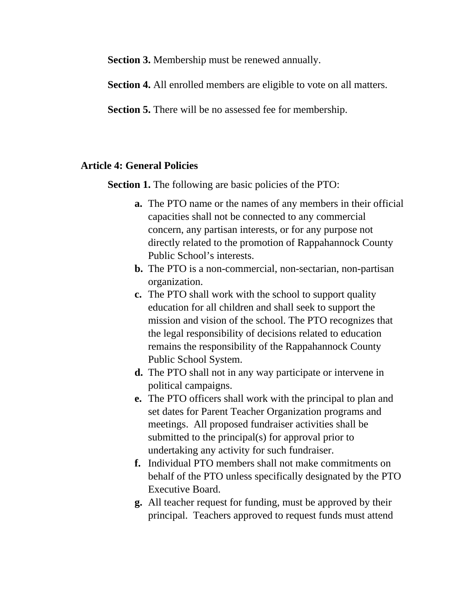**Section 3.** Membership must be renewed annually.

**Section 4.** All enrolled members are eligible to vote on all matters.

**Section 5.** There will be no assessed fee for membership.

#### **Article 4: General Policies**

Section 1. The following are basic policies of the PTO:

- **a.** The PTO name or the names of any members in their official capacities shall not be connected to any commercial concern, any partisan interests, or for any purpose not directly related to the promotion of Rappahannock County Public School's interests.
- **b.** The PTO is a non-commercial, non-sectarian, non-partisan organization.
- **c.** The PTO shall work with the school to support quality education for all children and shall seek to support the mission and vision of the school. The PTO recognizes that the legal responsibility of decisions related to education remains the responsibility of the Rappahannock County Public School System.
- **d.** The PTO shall not in any way participate or intervene in political campaigns.
- **e.** The PTO officers shall work with the principal to plan and set dates for Parent Teacher Organization programs and meetings. All proposed fundraiser activities shall be submitted to the principal(s) for approval prior to undertaking any activity for such fundraiser.
- **f.** Individual PTO members shall not make commitments on behalf of the PTO unless specifically designated by the PTO Executive Board.
- **g.** All teacher request for funding, must be approved by their principal. Teachers approved to request funds must attend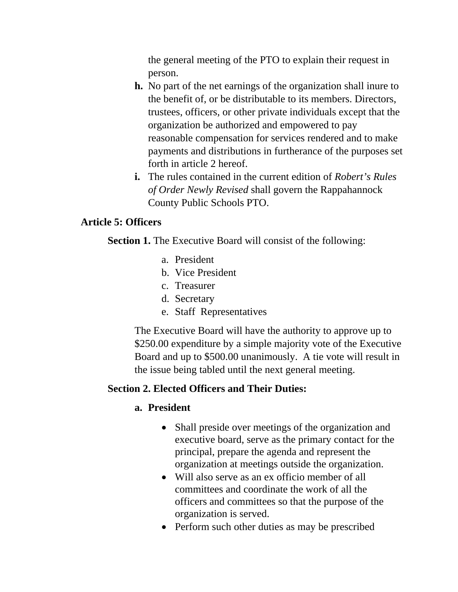the general meeting of the PTO to explain their request in person.

- **h.** No part of the net earnings of the organization shall inure to the benefit of, or be distributable to its members. Directors, trustees, officers, or other private individuals except that the organization be authorized and empowered to pay reasonable compensation for services rendered and to make payments and distributions in furtherance of the purposes set forth in article 2 hereof.
- **i.** The rules contained in the current edition of *Robert's Rules of Order Newly Revised* shall govern the Rappahannock County Public Schools PTO.

# **Article 5: Officers**

**Section 1.** The Executive Board will consist of the following:

- a. President
- b. Vice President
- c. Treasurer
- d. Secretary
- e. Staff Representatives

The Executive Board will have the authority to approve up to \$250.00 expenditure by a simple majority vote of the Executive Board and up to \$500.00 unanimously. A tie vote will result in the issue being tabled until the next general meeting.

# **Section 2. Elected Officers and Their Duties:**

# **a. President**

- Shall preside over meetings of the organization and executive board, serve as the primary contact for the principal, prepare the agenda and represent the organization at meetings outside the organization.
- Will also serve as an ex officio member of all committees and coordinate the work of all the officers and committees so that the purpose of the organization is served.
- Perform such other duties as may be prescribed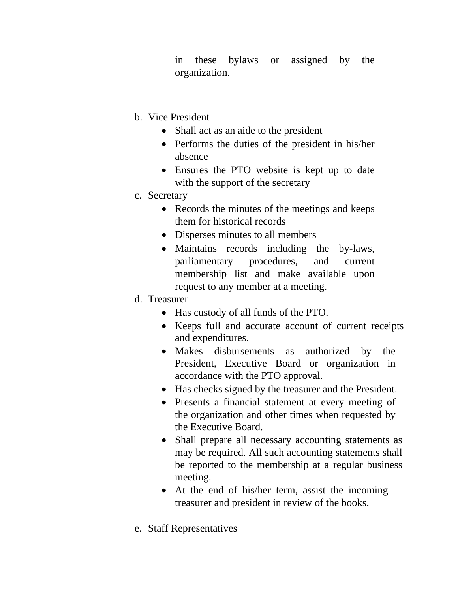in these bylaws or assigned by the organization.

- b. Vice President
	- Shall act as an aide to the president
	- Performs the duties of the president in his/her absence
	- Ensures the PTO website is kept up to date with the support of the secretary
- c. Secretary
	- Records the minutes of the meetings and keeps them for historical records
	- Disperses minutes to all members
	- Maintains records including the by-laws, parliamentary procedures, and current membership list and make available upon request to any member at a meeting.
- d. Treasurer
	- Has custody of all funds of the PTO.
	- Keeps full and accurate account of current receipts and expenditures.
	- Makes disbursements as authorized by the President, Executive Board or organization in accordance with the PTO approval.
	- Has checks signed by the treasurer and the President.
	- Presents a financial statement at every meeting of the organization and other times when requested by the Executive Board.
	- Shall prepare all necessary accounting statements as may be required. All such accounting statements shall be reported to the membership at a regular business meeting.
	- At the end of his/her term, assist the incoming treasurer and president in review of the books.
- e. Staff Representatives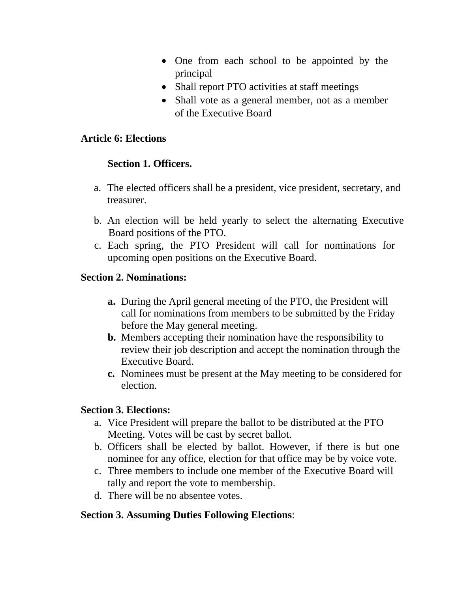- One from each school to be appointed by the principal
- Shall report PTO activities at staff meetings
- Shall vote as a general member, not as a member of the Executive Board

#### **Article 6: Elections**

### **Section 1. Officers.**

- a. The elected officers shall be a president, vice president, secretary, and treasurer.
- b. An election will be held yearly to select the alternating Executive Board positions of the PTO.
- c. Each spring, the PTO President will call for nominations for upcoming open positions on the Executive Board.

### **Section 2. Nominations:**

- **a.** During the April general meeting of the PTO, the President will call for nominations from members to be submitted by the Friday before the May general meeting.
- **b.** Members accepting their nomination have the responsibility to review their job description and accept the nomination through the Executive Board.
- **c.** Nominees must be present at the May meeting to be considered for election.

### **Section 3. Elections:**

- a. Vice President will prepare the ballot to be distributed at the PTO Meeting. Votes will be cast by secret ballot.
- b. Officers shall be elected by ballot. However, if there is but one nominee for any office, election for that office may be by voice vote.
- c. Three members to include one member of the Executive Board will tally and report the vote to membership.
- d. There will be no absentee votes.

### **Section 3. Assuming Duties Following Elections**: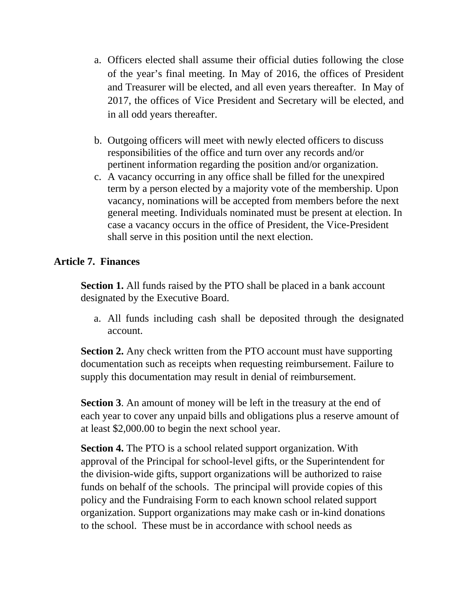- a. Officers elected shall assume their official duties following the close of the year's final meeting. In May of 2016, the offices of President and Treasurer will be elected, and all even years thereafter. In May of 2017, the offices of Vice President and Secretary will be elected, and in all odd years thereafter.
- b. Outgoing officers will meet with newly elected officers to discuss responsibilities of the office and turn over any records and/or pertinent information regarding the position and/or organization.
- c. A vacancy occurring in any office shall be filled for the unexpired term by a person elected by a majority vote of the membership. Upon vacancy, nominations will be accepted from members before the next general meeting. Individuals nominated must be present at election. In case a vacancy occurs in the office of President, the Vice-President shall serve in this position until the next election.

### **Article 7. Finances**

**Section 1.** All funds raised by the PTO shall be placed in a bank account designated by the Executive Board.

a. All funds including cash shall be deposited through the designated account.

**Section 2.** Any check written from the PTO account must have supporting documentation such as receipts when requesting reimbursement. Failure to supply this documentation may result in denial of reimbursement.

**Section 3**. An amount of money will be left in the treasury at the end of each year to cover any unpaid bills and obligations plus a reserve amount of at least \$2,000.00 to begin the next school year.

**Section 4.** The PTO is a school related support organization. With approval of the Principal for school-level gifts, or the Superintendent for the division-wide gifts, support organizations will be authorized to raise funds on behalf of the schools. The principal will provide copies of this policy and the Fundraising Form to each known school related support organization. Support organizations may make cash or in-kind donations to the school. These must be in accordance with school needs as